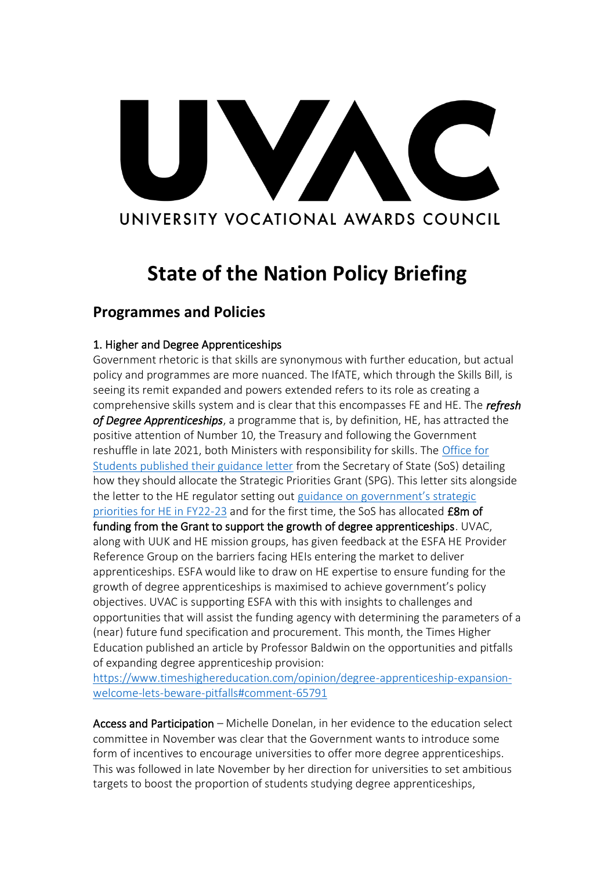# VA UNIVERSITY VOCATIONAL AWARDS COUNCIL

# **State of the Nation Policy Briefing**

## **Programmes and Policies**

### 1. Higher and Degree Apprenticeships

Government rhetoric is that skills are synonymous with further education, but actual policy and programmes are more nuanced. The IfATE, which through the Skills Bill, is seeing its remit expanded and powers extended refers to its role as creating a comprehensive skills system and is clear that this encompasses FE and HE. The *refresh of Degree Apprenticeships*, a programme that is, by definition, HE, has attracted the positive attention of Number 10, the Treasury and following the Government reshuffle in late 2021, both Ministers with responsibility for skills. The [Office for](https://www.officeforstudents.org.uk/advice-and-guidance/regulation/guidance-from-government/)  [Students published their guidance letter](https://www.officeforstudents.org.uk/advice-and-guidance/regulation/guidance-from-government/) from the Secretary of State (SoS) detailing how they should allocate the Strategic Priorities Grant (SPG). This letter sits alongside the letter to the HE regulator setting out [guidance on government's strategic](https://www.officeforstudents.org.uk/media/be054f0b-696a-41fc-8f50-218eb0e3dcab/ofs-strategic-guidance-20220331_amend.pdf)  [priorities for HE in FY22-23](https://www.officeforstudents.org.uk/media/be054f0b-696a-41fc-8f50-218eb0e3dcab/ofs-strategic-guidance-20220331_amend.pdf) and for the first time, the SoS has allocated £8m of funding from the Grant to support the growth of degree apprenticeships. UVAC, along with UUK and HE mission groups, has given feedback at the ESFA HE Provider Reference Group on the barriers facing HEIs entering the market to deliver apprenticeships. ESFA would like to draw on HE expertise to ensure funding for the growth of degree apprenticeships is maximised to achieve government's policy objectives. UVAC is supporting ESFA with this with insights to challenges and opportunities that will assist the funding agency with determining the parameters of a (near) future fund specification and procurement. This month, the Times Higher Education published an article by Professor Baldwin on the opportunities and pitfalls of expanding degree apprenticeship provision:

[https://www.timeshighereducation.com/opinion/degree-apprenticeship-expansion](https://www.timeshighereducation.com/opinion/degree-apprenticeship-expansion-welcome-lets-beware-pitfalls#comment-65791)[welcome-lets-beware-pitfalls#comment-65791](https://www.timeshighereducation.com/opinion/degree-apprenticeship-expansion-welcome-lets-beware-pitfalls#comment-65791)

Access and Participation – Michelle Donelan, in her evidence to the education select committee in November was clear that the Government wants to introduce some form of incentives to encourage universities to offer more degree apprenticeships. This was followed in late November by her direction for universities to set ambitious targets to boost the proportion of students studying degree apprenticeships,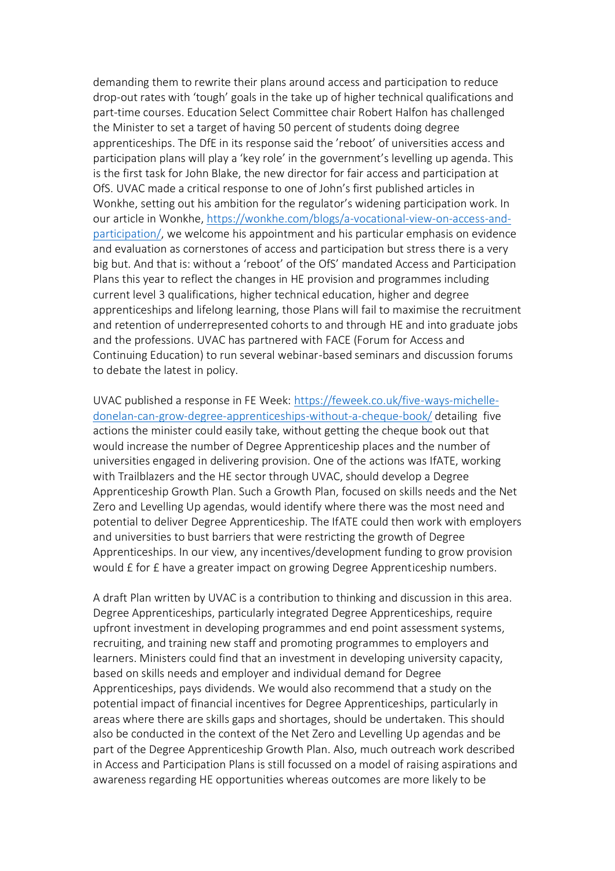demanding them to rewrite their plans around access and participation to reduce drop-out rates with 'tough' goals in the take up of higher technical qualifications and part-time courses. Education Select Committee chair Robert Halfon has challenged the Minister to set a target of having 50 percent of students doing degree apprenticeships. The DfE in its response said the 'reboot' of universities access and participation plans will play a 'key role' in the government's levelling up agenda. This is the first task for John Blake, the new director for fair access and participation at OfS. UVAC made a critical response to one of John's first published articles in Wonkhe, setting out his ambition for the regulator's widening participation work. In our article in Wonkhe, [https://wonkhe.com/blogs/a-vocational-view-on-access-and](https://wonkhe.com/blogs/a-vocational-view-on-access-and-participation/)[participation/,](https://wonkhe.com/blogs/a-vocational-view-on-access-and-participation/) we welcome his appointment and his particular emphasis on evidence and evaluation as cornerstones of access and participation but stress there is a very big but. And that is: without a 'reboot' of the OfS' mandated Access and Participation Plans this year to reflect the changes in HE provision and programmes including current level 3 qualifications, higher technical education, higher and degree apprenticeships and lifelong learning, those Plans will fail to maximise the recruitment and retention of underrepresented cohorts to and through HE and into graduate jobs and the professions. UVAC has partnered with FACE (Forum for Access and Continuing Education) to run several webinar-based seminars and discussion forums to debate the latest in policy.

UVAC published a response in FE Week: [https://feweek.co.uk/five-ways-michelle](https://feweek.co.uk/five-ways-michelle-donelan-can-grow-degree-apprenticeships-without-a-cheque-book/)[donelan-can-grow-degree-apprenticeships-without-a-cheque-book/](https://feweek.co.uk/five-ways-michelle-donelan-can-grow-degree-apprenticeships-without-a-cheque-book/) detailing five actions the minister could easily take, without getting the cheque book out that would increase the number of Degree Apprenticeship places and the number of universities engaged in delivering provision. One of the actions was IfATE, working with Trailblazers and the HE sector through UVAC, should develop a Degree Apprenticeship Growth Plan. Such a Growth Plan, focused on skills needs and the Net Zero and Levelling Up agendas, would identify where there was the most need and potential to deliver Degree Apprenticeship. The IfATE could then work with employers and universities to bust barriers that were restricting the growth of Degree Apprenticeships. In our view, any incentives/development funding to grow provision would £ for £ have a greater impact on growing Degree Apprenticeship numbers.

A draft Plan written by UVAC is a contribution to thinking and discussion in this area. Degree Apprenticeships, particularly integrated Degree Apprenticeships, require upfront investment in developing programmes and end point assessment systems, recruiting, and training new staff and promoting programmes to employers and learners. Ministers could find that an investment in developing university capacity, based on skills needs and employer and individual demand for Degree Apprenticeships, pays dividends. We would also recommend that a study on the potential impact of financial incentives for Degree Apprenticeships, particularly in areas where there are skills gaps and shortages, should be undertaken. This should also be conducted in the context of the Net Zero and Levelling Up agendas and be part of the Degree Apprenticeship Growth Plan. Also, much outreach work described in Access and Participation Plans is still focussed on a model of raising aspirations and awareness regarding HE opportunities whereas outcomes are more likely to be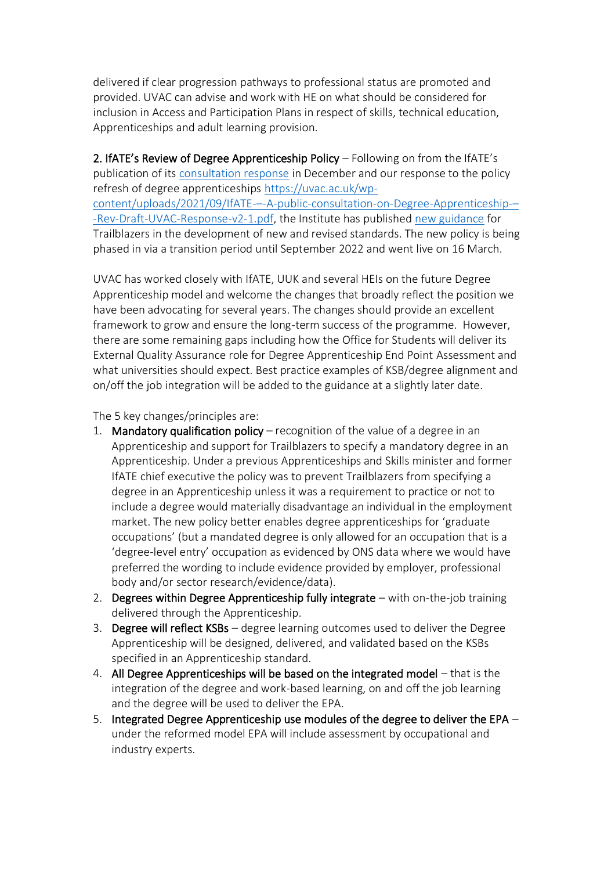delivered if clear progression pathways to professional status are promoted and provided. UVAC can advise and work with HE on what should be considered for inclusion in Access and Participation Plans in respect of skills, technical education, Apprenticeships and adult learning provision.

2. IfATE's Review of Degree Apprenticeship Policy – Following on from the IfATE's publication of its [consultation response](https://www.instituteforapprenticeships.org/reviews-and-consultations/consultations/degree-apprenticeships-consultation/) in December and our response to the policy refresh of degree apprenticeships [https://uvac.ac.uk/wp](https://uvac.ac.uk/wp-content/uploads/2021/09/IfATE-%E2%80%93-A-public-consultation-on-Degree-Apprenticeship-%E2%80%93-Rev-Draft-UVAC-Response-v2-1.pdf)content/uploads/2021/09/IfATE-–[-A-public-consultation-on-Degree-Apprenticeship-](https://uvac.ac.uk/wp-content/uploads/2021/09/IfATE-%E2%80%93-A-public-consultation-on-Degree-Apprenticeship-%E2%80%93-Rev-Draft-UVAC-Response-v2-1.pdf)– [-Rev-Draft-UVAC-Response-v2-1.pdf,](https://uvac.ac.uk/wp-content/uploads/2021/09/IfATE-%E2%80%93-A-public-consultation-on-Degree-Apprenticeship-%E2%80%93-Rev-Draft-UVAC-Response-v2-1.pdf) the Institute has published [new guidance](https://www.instituteforapprenticeships.org/developing-new-apprenticeships/degree-apprenticeships-2022/) for Trailblazers in the development of new and revised standards. The new policy is being phased in via a transition period until September 2022 and went live on 16 March.

UVAC has worked closely with IfATE, UUK and several HEIs on the future Degree Apprenticeship model and welcome the changes that broadly reflect the position we have been advocating for several years. The changes should provide an excellent framework to grow and ensure the long-term success of the programme. However, there are some remaining gaps including how the Office for Students will deliver its External Quality Assurance role for Degree Apprenticeship End Point Assessment and what universities should expect. Best practice examples of KSB/degree alignment and on/off the job integration will be added to the guidance at a slightly later date.

The 5 key changes/principles are:

- 1. Mandatory qualification policy  $-$  recognition of the value of a degree in an Apprenticeship and support for Trailblazers to specify a mandatory degree in an Apprenticeship. Under a previous Apprenticeships and Skills minister and former IfATE chief executive the policy was to prevent Trailblazers from specifying a degree in an Apprenticeship unless it was a requirement to practice or not to include a degree would materially disadvantage an individual in the employment market. The new policy better enables degree apprenticeships for 'graduate occupations' (but a mandated degree is only allowed for an occupation that is a 'degree-level entry' occupation as evidenced by ONS data where we would have preferred the wording to include evidence provided by employer, professional body and/or sector research/evidence/data).
- 2. Degrees within Degree Apprenticeship fully integrate with on-the-job training delivered through the Apprenticeship.
- 3. Degree will reflect KSBs degree learning outcomes used to deliver the Degree Apprenticeship will be designed, delivered, and validated based on the KSBs specified in an Apprenticeship standard.
- 4. All Degree Apprenticeships will be based on the integrated model that is the integration of the degree and work-based learning, on and off the job learning and the degree will be used to deliver the EPA.
- 5. Integrated Degree Apprenticeship use modules of the degree to deliver the EPA under the reformed model EPA will include assessment by occupational and industry experts.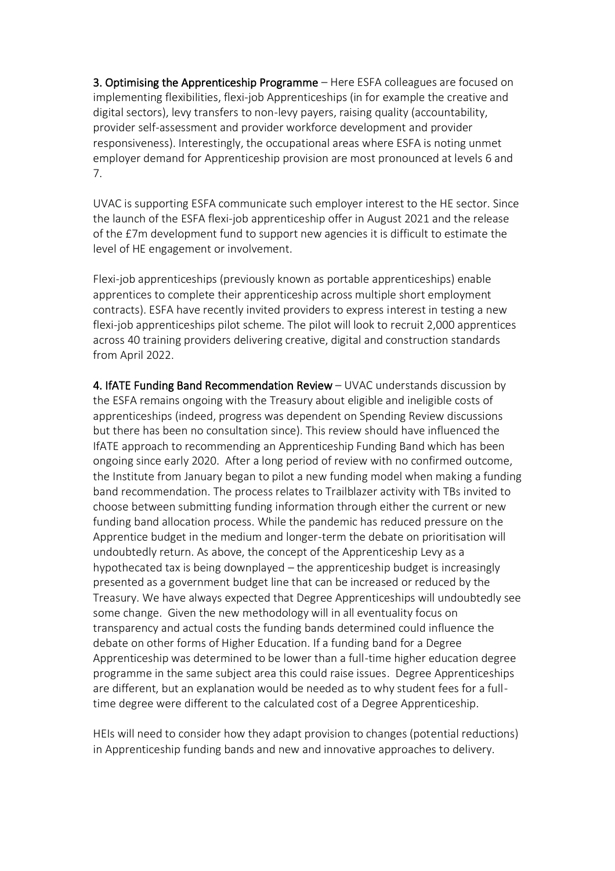3. Optimising the Apprenticeship Programme – Here ESFA colleagues are focused on implementing flexibilities, flexi-job Apprenticeships (in for example the creative and digital sectors), levy transfers to non-levy payers, raising quality (accountability, provider self-assessment and provider workforce development and provider responsiveness). Interestingly, the occupational areas where ESFA is noting unmet employer demand for Apprenticeship provision are most pronounced at levels 6 and 7.

UVAC is supporting ESFA communicate such employer interest to the HE sector. Since the launch of the ESFA flexi-job apprenticeship offer in August 2021 and the release of the £7m development fund to support new agencies it is difficult to estimate the level of HE engagement or involvement.

Flexi-job apprenticeships (previously known as portable apprenticeships) enable apprentices to complete their apprenticeship across multiple short employment contracts). ESFA have recently invited providers to express interest in testing a new flexi-job apprenticeships pilot scheme. The pilot will look to recruit 2,000 apprentices across 40 training providers delivering creative, digital and construction standards from April 2022.

4. IfATE Funding Band Recommendation Review – UVAC understands discussion by the ESFA remains ongoing with the Treasury about eligible and ineligible costs of apprenticeships (indeed, progress was dependent on Spending Review discussions but there has been no consultation since). This review should have influenced the IfATE approach to recommending an Apprenticeship Funding Band which has been ongoing since early 2020. After a long period of review with no confirmed outcome, the Institute from January began to pilot a new funding model when making a funding band recommendation. The process relates to Trailblazer activity with TBs invited to choose between submitting funding information through either the current or new funding band allocation process. While the pandemic has reduced pressure on the Apprentice budget in the medium and longer-term the debate on prioritisation will undoubtedly return. As above, the concept of the Apprenticeship Levy as a hypothecated tax is being downplayed – the apprenticeship budget is increasingly presented as a government budget line that can be increased or reduced by the Treasury. We have always expected that Degree Apprenticeships will undoubtedly see some change. Given the new methodology will in all eventuality focus on transparency and actual costs the funding bands determined could influence the debate on other forms of Higher Education. If a funding band for a Degree Apprenticeship was determined to be lower than a full-time higher education degree programme in the same subject area this could raise issues. Degree Apprenticeships are different, but an explanation would be needed as to why student fees for a fulltime degree were different to the calculated cost of a Degree Apprenticeship.

HEIs will need to consider how they adapt provision to changes (potential reductions) in Apprenticeship funding bands and new and innovative approaches to delivery.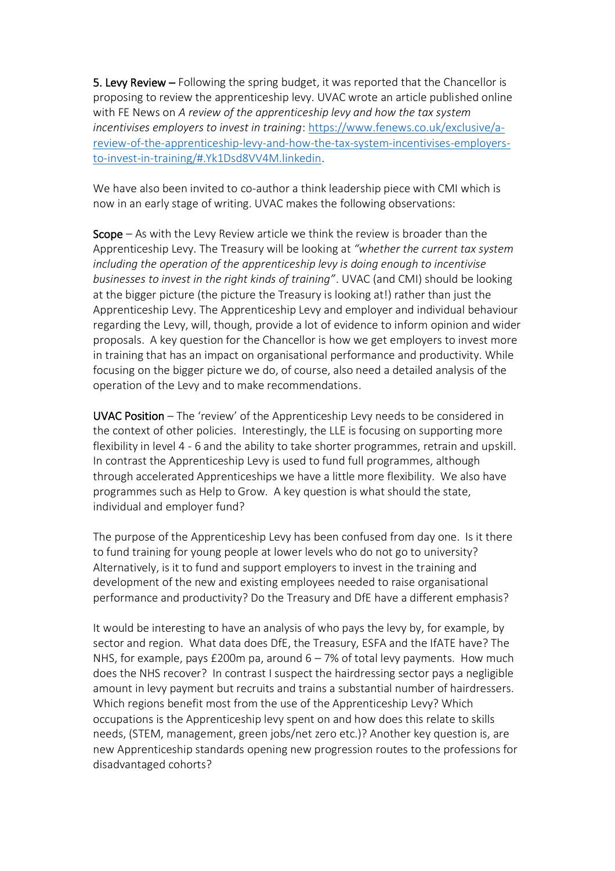5. Levy Review – Following the spring budget, it was reported that the Chancellor is proposing to review the apprenticeship levy. UVAC wrote an article published online with FE News on *A review of the apprenticeship levy and how the tax system incentivises employers to invest in training*: [https://www.fenews.co.uk/exclusive/a](https://www.fenews.co.uk/exclusive/a-review-of-the-apprenticeship-levy-and-how-the-tax-system-incentivises-employers-to-invest-in-training/#.Yk1Dsd8VV4M.linkedin)[review-of-the-apprenticeship-levy-and-how-the-tax-system-incentivises-employers](https://www.fenews.co.uk/exclusive/a-review-of-the-apprenticeship-levy-and-how-the-tax-system-incentivises-employers-to-invest-in-training/#.Yk1Dsd8VV4M.linkedin)[to-invest-in-training/#.Yk1Dsd8VV4M.linkedin.](https://www.fenews.co.uk/exclusive/a-review-of-the-apprenticeship-levy-and-how-the-tax-system-incentivises-employers-to-invest-in-training/#.Yk1Dsd8VV4M.linkedin)

We have also been invited to co-author a think leadership piece with CMI which is now in an early stage of writing. UVAC makes the following observations:

Scope – As with the Levy Review article we think the review is broader than the Apprenticeship Levy. The Treasury will be looking at *"whether the current tax system including the operation of the apprenticeship levy is doing enough to incentivise businesses to invest in the right kinds of training"*. UVAC (and CMI) should be looking at the bigger picture (the picture the Treasury is looking at!) rather than just the Apprenticeship Levy. The Apprenticeship Levy and employer and individual behaviour regarding the Levy, will, though, provide a lot of evidence to inform opinion and wider proposals. A key question for the Chancellor is how we get employers to invest more in training that has an impact on organisational performance and productivity. While focusing on the bigger picture we do, of course, also need a detailed analysis of the operation of the Levy and to make recommendations.

UVAC Position – The 'review' of the Apprenticeship Levy needs to be considered in the context of other policies. Interestingly, the LLE is focusing on supporting more flexibility in level 4 - 6 and the ability to take shorter programmes, retrain and upskill. In contrast the Apprenticeship Levy is used to fund full programmes, although through accelerated Apprenticeships we have a little more flexibility. We also have programmes such as Help to Grow. A key question is what should the state, individual and employer fund?

The purpose of the Apprenticeship Levy has been confused from day one. Is it there to fund training for young people at lower levels who do not go to university? Alternatively, is it to fund and support employers to invest in the training and development of the new and existing employees needed to raise organisational performance and productivity? Do the Treasury and DfE have a different emphasis?

It would be interesting to have an analysis of who pays the levy by, for example, by sector and region. What data does DfE, the Treasury, ESFA and the IfATE have? The NHS, for example, pays £200m pa, around  $6 - 7%$  of total levy payments. How much does the NHS recover? In contrast I suspect the hairdressing sector pays a negligible amount in levy payment but recruits and trains a substantial number of hairdressers. Which regions benefit most from the use of the Apprenticeship Levy? Which occupations is the Apprenticeship levy spent on and how does this relate to skills needs, (STEM, management, green jobs/net zero etc.)? Another key question is, are new Apprenticeship standards opening new progression routes to the professions for disadvantaged cohorts?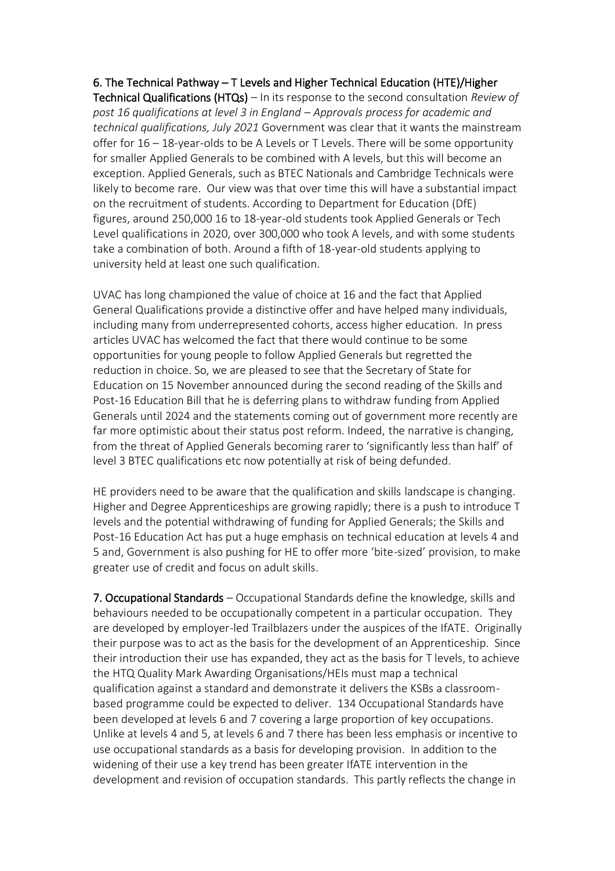#### 6. The Technical Pathway – T Levels and Higher Technical Education (HTE)/Higher

Technical Qualifications (HTQs) – In its response to the second consultation *Review of post 16 qualifications at level 3 in England – Approvals process for academic and technical qualifications, July 2021* Government was clear that it wants the mainstream offer for 16 – 18-year-olds to be A Levels or T Levels. There will be some opportunity for smaller Applied Generals to be combined with A levels, but this will become an exception. Applied Generals, such as BTEC Nationals and Cambridge Technicals were likely to become rare. Our view was that over time this will have a substantial impact on the recruitment of students. According to Department for Education (DfE) figures, around 250,000 16 to 18-year-old students took Applied Generals or Tech Level qualifications in 2020, over 300,000 who took A levels, and with some students take a combination of both. Around a fifth of 18-year-old students applying to university held at least one such qualification.

UVAC has long championed the value of choice at 16 and the fact that Applied General Qualifications provide a distinctive offer and have helped many individuals, including many from underrepresented cohorts, access higher education. In press articles UVAC has welcomed the fact that there would continue to be some opportunities for young people to follow Applied Generals but regretted the reduction in choice. So, we are pleased to see that the Secretary of State for Education on 15 November announced during the second reading of the Skills and Post-16 Education Bill that he is deferring plans to withdraw funding from Applied Generals until 2024 and the statements coming out of government more recently are far more optimistic about their status post reform. Indeed, the narrative is changing, from the threat of Applied Generals becoming rarer to 'significantly less than half' of level 3 BTEC qualifications etc now potentially at risk of being defunded.

HE providers need to be aware that the qualification and skills landscape is changing. Higher and Degree Apprenticeships are growing rapidly; there is a push to introduce T levels and the potential withdrawing of funding for Applied Generals; the Skills and Post-16 Education Act has put a huge emphasis on technical education at levels 4 and 5 and, Government is also pushing for HE to offer more 'bite-sized' provision, to make greater use of credit and focus on adult skills.

7. Occupational Standards – Occupational Standards define the knowledge, skills and behaviours needed to be occupationally competent in a particular occupation. They are developed by employer-led Trailblazers under the auspices of the IfATE. Originally their purpose was to act as the basis for the development of an Apprenticeship. Since their introduction their use has expanded, they act as the basis for T levels, to achieve the HTQ Quality Mark Awarding Organisations/HEIs must map a technical qualification against a standard and demonstrate it delivers the KSBs a classroombased programme could be expected to deliver. 134 Occupational Standards have been developed at levels 6 and 7 covering a large proportion of key occupations. Unlike at levels 4 and 5, at levels 6 and 7 there has been less emphasis or incentive to use occupational standards as a basis for developing provision. In addition to the widening of their use a key trend has been greater IfATE intervention in the development and revision of occupation standards. This partly reflects the change in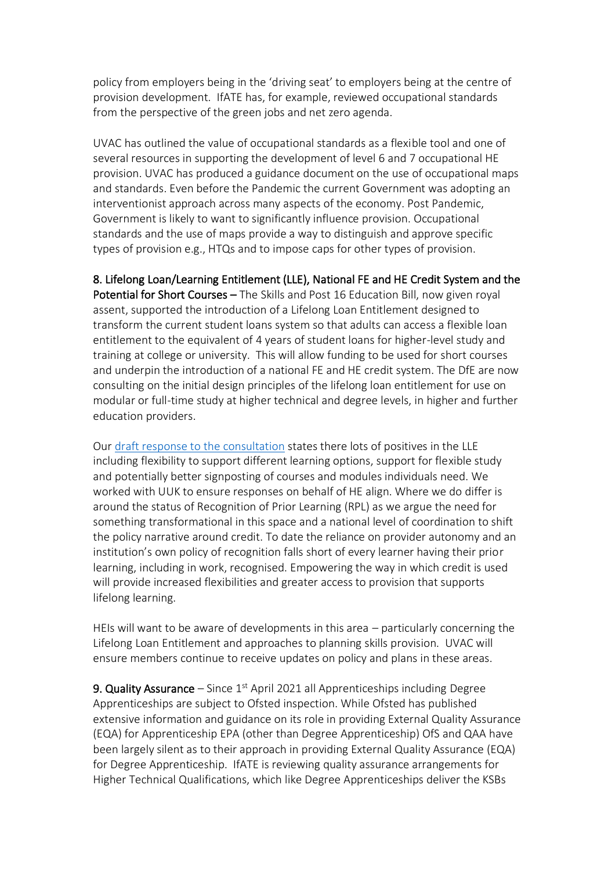policy from employers being in the 'driving seat' to employers being at the centre of provision development. IfATE has, for example, reviewed occupational standards from the perspective of the green jobs and net zero agenda.

UVAC has outlined the value of occupational standards as a flexible tool and one of several resources in supporting the development of level 6 and 7 occupational HE provision. UVAC has produced a guidance document on the use of occupational maps and standards. Even before the Pandemic the current Government was adopting an interventionist approach across many aspects of the economy. Post Pandemic, Government is likely to want to significantly influence provision. Occupational standards and the use of maps provide a way to distinguish and approve specific types of provision e.g., HTQs and to impose caps for other types of provision.

8. Lifelong Loan/Learning Entitlement (LLE), National FE and HE Credit System and the Potential for Short Courses – The Skills and Post 16 Education Bill, now given royal assent, supported the introduction of a Lifelong Loan Entitlement designed to transform the current student loans system so that adults can access a flexible loan entitlement to the equivalent of 4 years of student loans for higher-level study and training at college or university. This will allow funding to be used for short courses and underpin the introduction of a national FE and HE credit system. The DfE are now consulting on the initial design principles of the lifelong loan entitlement for use on modular or full-time study at higher technical and degree levels, in higher and further education providers.

Our [draft response to the consultation](https://uvac.ac.uk/lifelong-loan-entitlement-uvac-response/) states there lots of positives in the LLE including flexibility to support different learning options, support for flexible study and potentially better signposting of courses and modules individuals need. We worked with UUK to ensure responses on behalf of HE align. Where we do differ is around the status of Recognition of Prior Learning (RPL) as we argue the need for something transformational in this space and a national level of coordination to shift the policy narrative around credit. To date the reliance on provider autonomy and an institution's own policy of recognition falls short of every learner having their prior learning, including in work, recognised. Empowering the way in which credit is used will provide increased flexibilities and greater access to provision that supports lifelong learning.

HEIs will want to be aware of developments in this area – particularly concerning the Lifelong Loan Entitlement and approaches to planning skills provision. UVAC will ensure members continue to receive updates on policy and plans in these areas.

9. Quality Assurance – Since  $1<sup>st</sup>$  April 2021 all Apprenticeships including Degree Apprenticeships are subject to Ofsted inspection. While Ofsted has published extensive information and guidance on its role in providing External Quality Assurance (EQA) for Apprenticeship EPA (other than Degree Apprenticeship) OfS and QAA have been largely silent as to their approach in providing External Quality Assurance (EQA) for Degree Apprenticeship. IfATE is reviewing quality assurance arrangements for Higher Technical Qualifications, which like Degree Apprenticeships deliver the KSBs